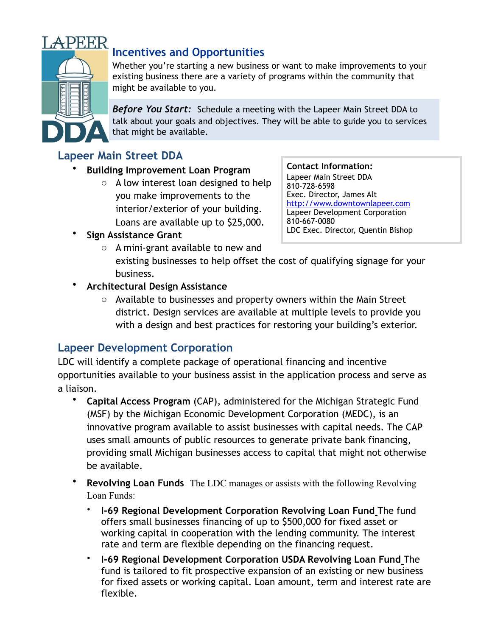

# **Incentives and Opportunities**

Whether you're starting a new business or want to make improvements to your existing business there are a variety of programs within the community that might be available to you.

*Before You Start:*Schedule a meeting with the Lapeer Main Street DDA to talk about your goals and objectives. They will be able to guide you to services that might be available.

### **Lapeer Main Street DDA**

- **Building Improvement Loan Program**
	- o A low interest loan designed to help you make improvements to the interior/exterior of your building. Loans are available up to \$25,000.

**Contact Information:**

Lapeer Main Street DDA 810-728-6598 Exec. Director, James Alt <http://www.downtownlapeer.com> Lapeer Development Corporation 810-667-0080 LDC Exec. Director, Quentin Bishop

- **Sign Assistance Grant**
	- o A mini-grant available to new and existing businesses to help offset the cost of qualifying signage for your business.
- **Architectural Design Assistance**
	- o Available to businesses and property owners within the Main Street district. Design services are available at multiple levels to provide you with a design and best practices for restoring your building's exterior.

## **Lapeer Development Corporation**

LDC will identify a complete package of operational financing and incentive opportunities available to your business assist in the application process and serve as a liaison.

- **Capital Access Program** (CAP), administered for the Michigan Strategic Fund (MSF) by the Michigan Economic Development Corporation (MEDC), is an innovative program available to assist businesses with capital needs. The CAP uses small amounts of public resources to generate private bank financing, providing small Michigan businesses access to capital that might not otherwise be available.
- **Revolving Loan Funds** The LDC manages or assists with the following Revolving Loan Funds:
	- **I-69 Regional Development Corporation Revolving Loan Fund** The fund offers small businesses financing of up to \$500,000 for fixed asset or working capital in cooperation with the lending community. The interest rate and term are flexible depending on the financing request.
	- **I-69 Regional Development Corporation USDA Revolving Loan Fund** The fund is tailored to fit prospective expansion of an existing or new business for fixed assets or working capital. Loan amount, term and interest rate are flexible.